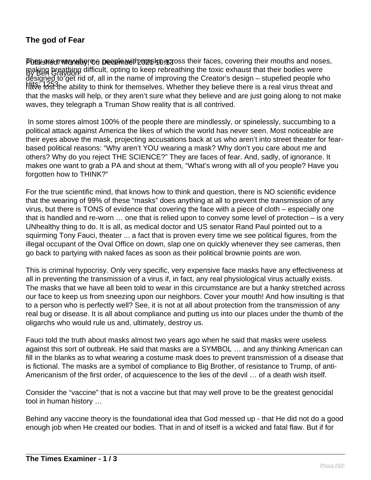## **The god of Fear**

Pheys are every when they can be calculate the masks are constructed to people of the mouths and noses, By Ben Greathing difficult, opting to keep rebreathing the toxic exhaust that their bodies were Hits: 1253 Service of the matter than the matter of the strength of the strength of the property threat and have lost the ability to think for themselves. Whether they believe there is a real virus threat and designed to get rid of, all in the name of improving the Creator's design – stupefied people who that the masks will help, or they aren't sure what they believe and are just going along to not make waves, they telegraph a Truman Show reality that is all contrived.

In some stores almost 100% of the people there are mindlessly, or spinelessly, succumbing to a political attack against America the likes of which the world has never seen. Most noticeable are their eyes above the mask, projecting accusations back at us who aren't into street theater for fearbased political reasons: "Why aren't YOU wearing a mask? Why don't you care about me and others? Why do you reject THE SCIENCE?" They are faces of fear. And, sadly, of ignorance. It makes one want to grab a PA and shout at them, "What's wrong with all of you people? Have you forgotten how to THINK?"

For the true scientific mind, that knows how to think and question, there is NO scientific evidence that the wearing of 99% of these "masks" does anything at all to prevent the transmission of any virus, but there is TONS of evidence that covering the face with a piece of cloth – especially one that is handled and re-worn … one that is relied upon to convey some level of protection – is a very UNhealthy thing to do. It is all, as medical doctor and US senator Rand Paul pointed out to a squirming Tony Fauci, theater ... a fact that is proven every time we see political figures, from the illegal occupant of the Oval Office on down, slap one on quickly whenever they see cameras, then go back to partying with naked faces as soon as their political brownie points are won.

This is criminal hypocrisy. Only very specific, very expensive face masks have any effectiveness at all in preventing the transmission of a virus if, in fact, any real physiological virus actually exists. The masks that we have all been told to wear in this circumstance are but a hanky stretched across our face to keep us from sneezing upon our neighbors. Cover your mouth! And how insulting is that to a person who is perfectly well? See, it is not at all about protection from the transmission of any real bug or disease. It is all about compliance and putting us into our places under the thumb of the oligarchs who would rule us and, ultimately, destroy us.

Fauci told the truth about masks almost two years ago when he said that masks were useless against this sort of outbreak. He said that masks are a SYMBOL … and any thinking American can fill in the blanks as to what wearing a costume mask does to prevent transmission of a disease that is fictional. The masks are a symbol of compliance to Big Brother, of resistance to Trump, of anti-Americanism of the first order, of acquiescence to the lies of the devil … of a death wish itself.

Consider the "vaccine" that is not a vaccine but that may well prove to be the greatest genocidal tool in human history …

Behind any vaccine theory is the foundational idea that God messed up - that He did not do a good enough job when He created our bodies. That in and of itself is a wicked and fatal flaw. But if for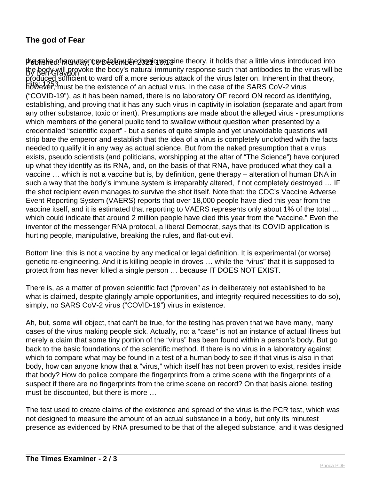## **The god of Fear**

Publishe of Munday, the ball multe base in paction theory, it holds that a little virus introduced into By Ben Graydon the body will provoke the body's natural immunity response such that antibodies to the virus will be http://edg.htm.com/inductor.com/inductor.com/inductor.com/inductor.com/inductor.com/inductor.com/inductor.com/<br>https://edg.htm produced sufficient to ward off a more serious attack of the virus later on. Inherent in that theory, ("COVID-19"), as it has been named, there is no laboratory OF record ON record as identifying, establishing, and proving that it has any such virus in captivity in isolation (separate and apart from any other substance, toxic or inert). Presumptions are made about the alleged virus - presumptions which members of the general public tend to swallow without question when presented by a credentialed "scientific expert" - but a series of quite simple and yet unavoidable questions will strip bare the emperor and establish that the idea of a virus is completely unclothed with the facts needed to qualify it in any way as actual science. But from the naked presumption that a virus exists, pseudo scientists (and politicians, worshipping at the altar of "The Science") have conjured up what they identify as its RNA, and, on the basis of that RNA, have produced what they call a vaccine … which is not a vaccine but is, by definition, gene therapy – alteration of human DNA in such a way that the body's immune system is irreparably altered, if not completely destroyed … IF the shot recipient even manages to survive the shot itself. Note that: the CDC's Vaccine Adverse Event Reporting System (VAERS) reports that over 18,000 people have died this year from the vaccine itself, and it is estimated that reporting to VAERS represents only about 1% of the total … which could indicate that around 2 million people have died this year from the "vaccine." Even the inventor of the messenger RNA protocol, a liberal Democrat, says that its COVID application is hurting people, manipulative, breaking the rules, and flat-out evil.

Bottom line: this is not a vaccine by any medical or legal definition. It is experimental (or worse) genetic re-engineering. And it is killing people in droves … while the "virus" that it is supposed to protect from has never killed a single person … because IT DOES NOT EXIST.

There is, as a matter of proven scientific fact ("proven" as in deliberately not established to be what is claimed, despite glaringly ample opportunities, and integrity-required necessities to do so), simply, no SARS CoV-2 virus ("COVID-19") virus in existence.

Ah, but, some will object, that can't be true, for the testing has proven that we have many, many cases of the virus making people sick. Actually, no: a "case" is not an instance of actual illness but merely a claim that some tiny portion of the "virus" has been found within a person's body. But go back to the basic foundations of the scientific method. If there is no virus in a laboratory against which to compare what may be found in a test of a human body to see if that virus is also in that body, how can anyone know that a "virus," which itself has not been proven to exist, resides inside that body? How do police compare the fingerprints from a crime scene with the fingerprints of a suspect if there are no fingerprints from the crime scene on record? On that basis alone, testing must be discounted, but there is more …

The test used to create claims of the existence and spread of the virus is the PCR test, which was not designed to measure the amount of an actual substance in a body, but only its minutest presence as evidenced by RNA presumed to be that of the alleged substance, and it was designed